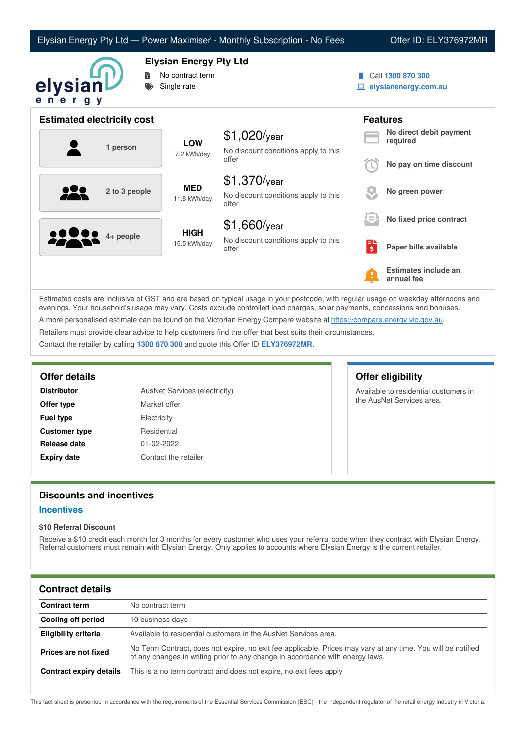| Elysian Energy Pty Ltd — Power Maximiser - Monthly Subscription - No Fees |  |  |  |
|---------------------------------------------------------------------------|--|--|--|
|---------------------------------------------------------------------------|--|--|--|

Offer ID: ELY376972MR



# **Elysian Energy Pty Ltd**

- **No contract term**
- Single rate
- Call **1300 870 300**
- **elysianenergy.com.au**

|         | <b>Estimated electricity cost</b> |                             |                                                                 |                                    | <b>Features</b>                     |
|---------|-----------------------------------|-----------------------------|-----------------------------------------------------------------|------------------------------------|-------------------------------------|
|         | 1 person                          | <b>LOW</b><br>7.2 kWh/day   | $$1,020$ /year<br>No discount conditions apply to this          |                                    | No direct debit payment<br>required |
|         |                                   | offer                       |                                                                 | No pay on time discount            |                                     |
|         | 2 to 3 people                     | <b>MED</b><br>11.8 kWh/day  | $$1,370$ /year<br>No discount conditions apply to this<br>offer |                                    | No green power                      |
|         |                                   |                             | $$1,660$ /year                                                  | l=.                                | No fixed price contract             |
| <u></u> | 4+ people                         | <b>HIGH</b><br>15.5 kWh/day | No discount conditions apply to this<br>offer                   | æ<br>$\overline{\boldsymbol{\xi}}$ | Paper bills available               |
|         |                                   |                             |                                                                 | Ŧ                                  | Estimates include an<br>annual fee  |

Estimated costs are inclusive of GST and are based on typical usage in your postcode, with regular usage on weekday afternoons and evenings. Your household's usage may vary. Costs exclude controlled load charges, solar payments, concessions and bonuses. A more personalised estimate can be found on the Victorian Energy Compare website at <https://compare.energy.vic.gov.au>. Retailers must provide clear advice to help customers find the offer that best suits their circumstances.

Contact the retailer by calling **1300 870 300** and quote this Offer ID **ELY376972MR**.

| <b>Distributor</b>   | <b>AusNet Services (electricity)</b> |  |
|----------------------|--------------------------------------|--|
| Offer type           | Market offer                         |  |
| <b>Fuel type</b>     | Electricity                          |  |
| <b>Customer type</b> | Residential                          |  |
| Release date         | 01-02-2022                           |  |
| <b>Expiry date</b>   | Contact the retailer                 |  |

# **Offer details Offer eligibility**

Available to residential customers in the AusNet Services area.

# **Discounts and incentives**

### **Incentives**

### **\$10 Referral Discount**

Receive a \$10 credit each month for 3 months for every customer who uses your referral code when they contract with Elysian Energy. Referral customers must remain with Elysian Energy. Only applies to accounts where Elysian Energy is the current retailer.

# **Contract details**

| <b>Contract term</b>    | No contract term                                                                                                                                                                              |
|-------------------------|-----------------------------------------------------------------------------------------------------------------------------------------------------------------------------------------------|
| Cooling off period      | 10 business days                                                                                                                                                                              |
| Eligibility criteria    | Available to residential customers in the AusNet Services area.                                                                                                                               |
| Prices are not fixed    | No Term Contract, does not expire, no exit fee applicable. Prices may vary at any time. You will be notified<br>of any changes in writing prior to any change in accordance with energy laws. |
| Contract expiry details | This is a no term contract and does not expire, no exit fees apply                                                                                                                            |

This fact sheet is presented in accordance with the requirements of the Essential Services Commission (ESC) - the independent regulator of the retail energy industry in Victoria.